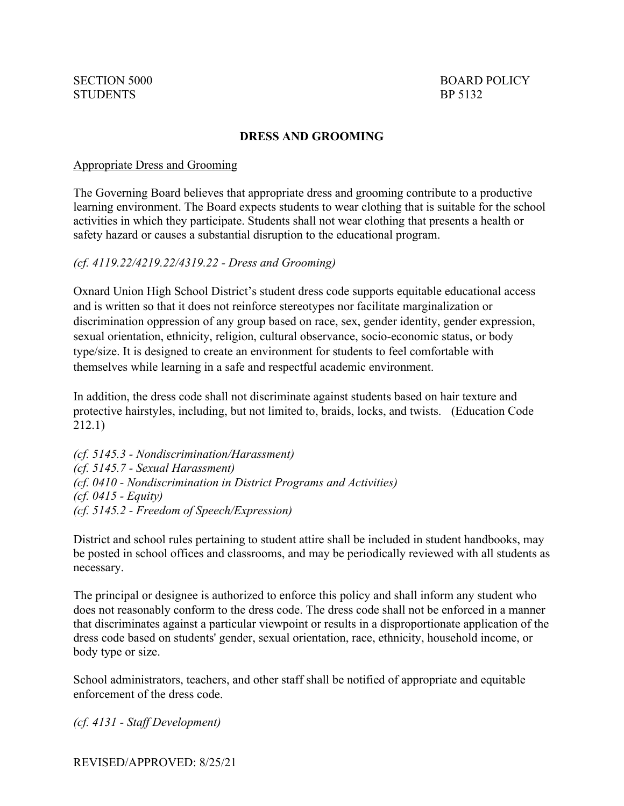# **DRESS AND GROOMING**

#### Appropriate Dress and Grooming

The Governing Board believes that appropriate dress and grooming contribute to a productive learning environment. The Board expects students to wear clothing that is suitable for the school activities in which they participate. Students shall not wear clothing that presents a health or safety hazard or causes a substantial disruption to the educational program.

### *(cf. 4119.22/4219.22/4319.22 - Dress and Grooming)*

Oxnard Union High School District's student dress code supports equitable educational access and is written so that it does not reinforce stereotypes nor facilitate marginalization or discrimination oppression of any group based on race, sex, gender identity, gender expression, sexual orientation, ethnicity, religion, cultural observance, socio-economic status, or body type/size. It is designed to create an environment for students to feel comfortable with themselves while learning in a safe and respectful academic environment.

In addition, the dress code shall not discriminate against students based on hair texture and protective hairstyles, including, but not limited to, braids, locks, and twists. (Education Code 212.1)

*(cf. 5145.3 - Nondiscrimination/Harassment) (cf. 5145.7 - Sexual Harassment) (cf. 0410 - Nondiscrimination in District Programs and Activities) (cf. 0415 - Equity) (cf. 5145.2 - Freedom of Speech/Expression)*

District and school rules pertaining to student attire shall be included in student handbooks, may be posted in school offices and classrooms, and may be periodically reviewed with all students as necessary.

The principal or designee is authorized to enforce this policy and shall inform any student who does not reasonably conform to the dress code. The dress code shall not be enforced in a manner that discriminates against a particular viewpoint or results in a disproportionate application of the dress code based on students' gender, sexual orientation, race, ethnicity, household income, or body type or size.

School administrators, teachers, and other staff shall be notified of appropriate and equitable enforcement of the dress code.

*(cf. 4131 - Staff Development)*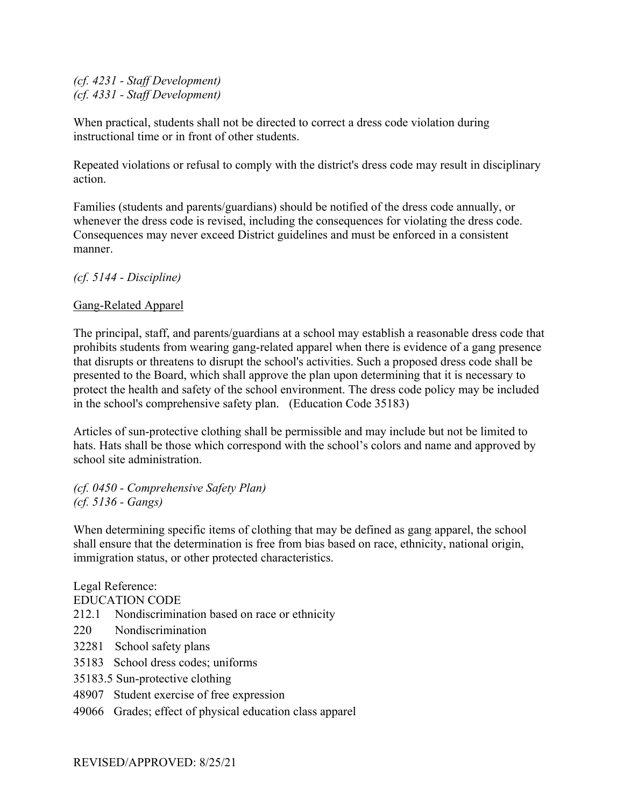*(cf. 4231 - Staff Development) (cf. 4331 - Staff Development)*

When practical, students shall not be directed to correct a dress code violation during instructional time or in front of other students.

Repeated violations or refusal to comply with the district's dress code may result in disciplinary action.

Families (students and parents/guardians) should be notified of the dress code annually, or whenever the dress code is revised, including the consequences for violating the dress code. Consequences may never exceed District guidelines and must be enforced in a consistent manner.

*(cf. 5144 - Discipline)*

## Gang-Related Apparel

The principal, staff, and parents/guardians at a school may establish a reasonable dress code that prohibits students from wearing gang-related apparel when there is evidence of a gang presence that disrupts or threatens to disrupt the school's activities. Such a proposed dress code shall be presented to the Board, which shall approve the plan upon determining that it is necessary to protect the health and safety of the school environment. The dress code policy may be included in the school's comprehensive safety plan. (Education Code 35183)

Articles of sun-protective clothing shall be permissible and may include but not be limited to hats. Hats shall be those which correspond with the school's colors and name and approved by school site administration.

*(cf. 0450 - Comprehensive Safety Plan) (cf. 5136 - Gangs)*

When determining specific items of clothing that may be defined as gang apparel, the school shall ensure that the determination is free from bias based on race, ethnicity, national origin, immigration status, or other protected characteristics.

Legal Reference: EDUCATION CODE 212.1 Nondiscrimination based on race or ethnicity 220 Nondiscrimination 32281 School safety plans 35183 School dress codes; uniforms 35183.5 Sun-protective clothing 48907 Student exercise of free expression 49066 Grades; effect of physical education class apparel